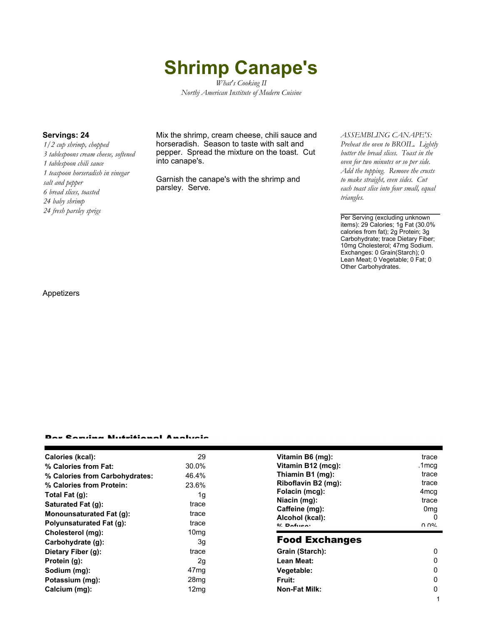# **Shrimp Canape's**

*What's Cooking II Northj American Institute of Modern Cuisine*

*1/2 cup shrimp, chopped 3 tablespoons cream cheese, softened 1 tablespoon chili sauce 1 teaspoon horseradish in vinegar salt and pepper 6 bread slices, toasted 24 baby shrimp 24 fresh parsley sprigs*

**Servings: 24** Mix the shrimp, cream cheese, chili sauce and horseradish. Season to taste with salt and pepper. Spread the mixture on the toast. Cut into canape's.

> Garnish the canape's with the shrimp and parsley. Serve.

### *ASSEMBLING CANAPE'S:*

*Preheat the oven to BROIL. Lightly butter the bread slices. Toast in the oven for two minutes or so per side. Add the topping. Remove the crusts to make straight, even sides. Cut each toast slice into four small, equal triangles.*

Per Serving (excluding unknown items): 29 Calories; 1g Fat (30.0% calories from fat); 2g Protein; 3g Carbohydrate; trace Dietary Fiber; 10mg Cholesterol; 47mg Sodium. Exchanges: 0 Grain(Starch); 0 Lean Meat; 0 Vegetable; 0 Fat; 0 Other Carbohydrates.

#### Appetizers

#### Per Serving Nutritional Analysis

| Calories (kcal):               | 29               | Vitamin B6 (n                   |
|--------------------------------|------------------|---------------------------------|
| % Calories from Fat:           | 30.0%            | Vitamin B12 (                   |
| % Calories from Carbohydrates: | 46.4%            | Thiamin B1 (n                   |
| % Calories from Protein:       | 23.6%            | <b>Riboflavin B2</b>            |
| Total Fat (q):                 | 1g               | Folacin (mcg)                   |
| <b>Saturated Fat (g):</b>      | trace            | Niacin (mg):                    |
| Monounsaturated Fat (q):       | trace            | Caffeine (mg)<br>Alcohol (kcal) |
| Polyunsaturated Fat (q):       | trace            | $0/2$ Pofileon                  |
| Cholesterol (mg):              | 10 <sub>mq</sub> |                                 |
| Carbohydrate (g):              | 3g               | <b>Food Exc</b>                 |
| Dietary Fiber (g):             | trace            | <b>Grain (Starch</b>            |
| Protein (g):                   | 2g               | Lean Meat:                      |
| Sodium (mg):                   | 47 <sub>mg</sub> | Vegetable:                      |
| Potassium (mg):                | 28 <sub>mq</sub> | Fruit:                          |
| Calcium (mg):                  | 12 <sub>mq</sub> | Non-Fat Milk:                   |
|                                |                  |                                 |

| Vitamin B6 (mq):    | trace            |
|---------------------|------------------|
| Vitamin B12 (mcg):  | .1mcg            |
| Thiamin B1 (mg):    | trace            |
| Riboflavin B2 (mg): | trace            |
| Folacin (mcg):      | 4 <sub>mcq</sub> |
| Niacin (mg):        | trace            |
| Caffeine (mg):      | 0mg              |
| Alcohol (kcal):     |                  |
| $0/$ Dofuson        | ስ ሰዐረ            |

## shanges

| Grain (Starch): |   |
|-----------------|---|
| Lean Meat:      | O |
| Vegetable:      | O |
| Fruit:          | O |
| Non-Fat Milk:   | O |
|                 |   |